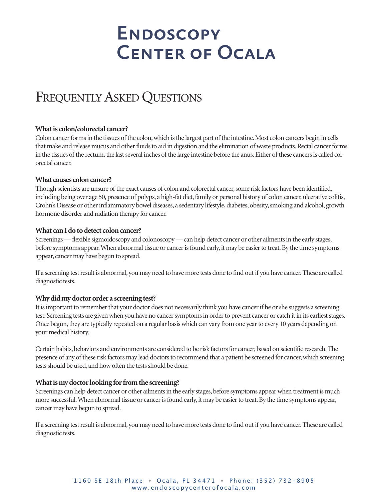# FREQUENTLY ASKED QUESTIONS

# **What is colon/colorectal cancer?**

Colon cancer forms in the tissues of the colon, which is the largest part of the intestine. Most colon cancers begin in cells that make and release mucus and other fluids to aid in digestion and the elimination of waste products. Rectal cancer forms in the tissues of the rectum, the last several inches of the large intestine before the anus. Either of these cancers is called colorectal cancer.

### **What causes colon cancer?**

Though scientists are unsure of the exact causes of colon and colorectal cancer, some risk factors have been identified, including being over age 50, presence of polyps, a high-fat diet, family or personal history of colon cancer, ulcerative colitis, Crohn's Disease or other inflammatory bowel diseases, a sedentary lifestyle, diabetes, obesity, smoking and alcohol, growth hormone disorder and radiation therapy for cancer.

### **What** can I do to detect colon cancer?

Screenings—flexible sigmoidoscopy and colonoscopy—can help detect cancer or other ailmentsin the early stages, before symptoms appear. When abnormal tissue or cancer is found early, it may be easier to treat. By the time symptoms appear, cancer may have begun to spread.

If a screening testresult is abnormal, you may need to have more tests done to find out if you have cancer.These are called diagnostic tests.

# **Whydidmydoctororder a screening test?**

It is important to remember that your doctor does not necessarily think you have cancer if he or she suggests a screening test. Screening tests are given when you have no cancer symptoms in order to prevent cancer or catch it in its earliest stages. Once begun, they are typically repeated on a regular basis which can vary from one year to every 10 years depending on your medical history.

Certain habits, behaviors and environments are considered to be risk factors for cancer, based on scientific research. The presence of any of these risk factors may lead doctors to recommend that a patient be screened for cancer, which screening tests should be used, and how often the tests should be done.

# **Whatismydoctorlooking forfromthe screening?**

Screenings can help detect cancer or other ailments in the early stages, before symptoms appear when treatment is much more successful. When abnormal tissue or cancer is found early, it may be easier to treat. By the time symptoms appear, cancer may have begun to spread.

If a screening testresult is abnormal, you may need to have more tests done to find out if you have cancer.These are called diagnostic tests.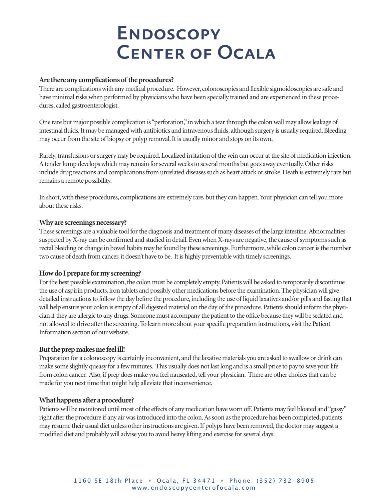## Are there any complications of the procedures?

There are complicationswith any medical procedure. However, colonoscopies and flexible sigmoidoscopies are safe and have minimal risks when performed by physicians who have been specially trained and are experienced in these procedures, called gastroenterologist.

One rare but major possible complication is"perforation,"inwhich a tearthrough the colonwall may allowleakage of intestinal fluids. It may be managed with antibiotics and intravenous fluids, although surgery is usually required. Bleeding may occur from the site of biopsy or polyp removal. It is usually minor and stops on its own.

Rarely, transfusions or surgery may be required. Localized irritation of the vein can occur at the site of medication injection. A tender lump develops which may remain for several weeks to several months but goes away eventually. Other risks include drug reactions and complications from unrelated diseases such as heart attack or stroke. Death is extremely rare but remains a remote possibility.

In short, with these procedures, complications are extremely rare, but they can happen. Your physician can tell you more about these risks.

#### **Why** are screenings necessary?

These screenings are a valuable tool for the diagnosis and treatment of many diseases of the large intestine. Abnormalities suspected by X-ray can be confirmed and studied in detail. Even when X-rays are negative, the cause of symptoms such as rectal bleeding or change in bowel habits may be found by these screenings. Furthermore, while colon cancer is the number two cause of death from cancer, it doesn't have to be. It is highly preventable with timely screenings.

# **HowdoIprepare formy screening?**

For the best possible examination, the colon must be completely empty. Patients will be asked to temporarily discontinue the use of aspirin products,iron tablets and possibly other medications before the examination.The physicianwill give detailed instructions to follow the day before the procedure, including the use of liquid laxatives and/or pills and fasting that will help ensure your colon is empty of all digested material on the day of the procedure. Patients should inform the physician if they are allergic to any drugs. Someone must accompany the patient to the office because theywill be sedated and not allowed to drive afterthe screening.To learn more about yourspecific preparation instructions, visit the Patient Information section of ourwebsite.

# But the prep makes me feel ill!

Preparation for a colonoscopy is certainly inconvenient, and the laxative materials you are asked to swallowor drink can make some slightly queasy for a few minutes. This usually does not last long and is a small price to pay to save your life from colon cancer. Also, if prep does make you feel nauseated, tell your physician. There are other choices that can be made for you next time that might help alleviate that inconvenience.

#### **What happens after a procedure?**

Patients will be monitored until most of the effects of any medication have worn off. Patients may feel bloated and "gassy" right after the procedure if any air was introduced into the colon. As soon as the procedure has been completed, patients may resume their usual diet unless other instructions are given. If polyps have been removed, the doctor may suggest a modified diet and probably will advise you to avoid heavy lifting and exercise for several days.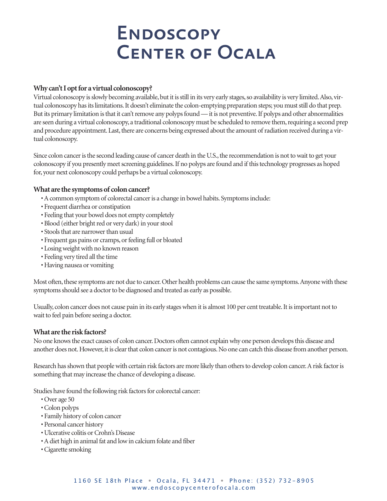# **Why can'tIoptfor a virtual colonoscopy?**

Virtual colonoscopy is slowly becoming available, but it is still in its very early stages, so availability is very limited. Also, virtual colonoscopy hasitslimitations.It doesn't eliminate the colon-emptying preparation steps; you muststill do that prep. But its primary limitation is that it can't remove any polyps found—it is not preventive. If polyps and other abnormalities are seen during a virtual colonoscopy, a traditional colonoscopy must be scheduled to remove them, requiring a second prep and procedure appointment. Last, there are concerns being expressed about the amount of radiation received during a virtual colonoscopy.

Since colon cancer is the second leading cause of cancer death in the U.S., the recommendation is not to wait to get your colonoscopy if you presently meet screening guidelines. If no polyps are found and if this technology progresses as hoped for, your next colonoscopy could perhaps be a virtual colonoscopy.

### **What** are the symptoms of colon cancer?

- •Acommon symptom of colorectal canceris a change in bowel habits. Symptomsinclude:
- Frequent diarrhea or constipation
- Feeling that your bowel does not empty completely
- Blood (either bright red or very dark) in your stool
- Stools that are narrower than usual
- Frequent gas pains or cramps, or feeling full or bloated
- Losing weight with no known reason
- Feeling very tired all the time
- Having nausea or vomiting

Most often, these symptoms are not due to cancer. Other health problems can cause the same symptoms. Anyone with these symptoms should see a doctor to be diagnosed and treated as early as possible.

Usually, colon cancer does not cause pain in its early stages when it is almost 100 per cent treatable. It is important not to wait to feel pain before seeing a doctor.

#### **What are the riskfactors?**

No one knows the exact causes of colon cancer. Doctors often cannot explain why one person develops this disease and another does not. However, it is clear that colon cancer is not contagious. No one can catch this disease from another person.

Research has shown that people with certain risk factors are more likely than others to develop colon cancer. A risk factor is something that may increase the chance of developing a disease.

Studies have found the following risk factors for colorectal cancer:

- Over age 50
- •Colon polyps
- Family history of colon cancer
- Personal cancer history
- Ulcerative colitis or Crohn's Disease
- •Adiet high in animal fat and lowin calcium folate and fiber
- •Cigarette smoking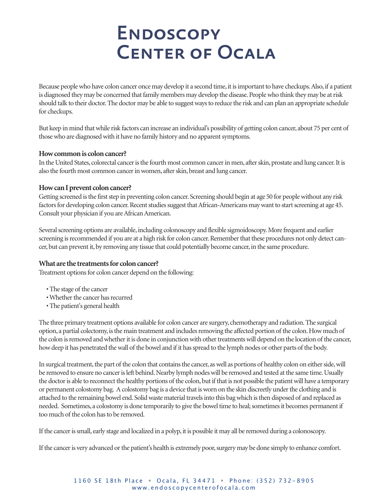Because people who have colon cancer once may develop it a second time, it is important to have checkups. Also, if a patient is diagnosed they may be concerned that family members may develop the disease. People who think they may be at risk should talk to their doctor.The doctor may be able to suggestwaysto reduce the risk and can plan an appropriate schedule for checkups.

But keep in mind thatwhile risk factors can increase an individual's possibility of getting colon cancer, about 75 per cent of those who are diagnosed with it have no family history and no apparent symptoms.

### **Howcommonis coloncancer?**

In the United States, colorectal cancer is the fourth most common cancer in men, after skin, prostate and lung cancer. It is also the fourth most common cancer in women, after skin, breast and lung cancer.

### **HowcanIprevent coloncancer?**

Getting screened is the first step in preventing colon cancer. Screening should begin at age 50 for people without any risk factors for developing colon cancer. Recent studies suggest that African-Americans may want to start screening at age 45. Consult your physician if you are African American.

Several screening options are available, including colonoscopy and flexible sigmoidoscopy. More frequent and earlier screening is recommended if you are at a high risk for colon cancer. Remember that these procedures not only detect cancer, but can prevent it, by removing any tissue that could potentially become cancer, in the same procedure.

# **What** are the treatments for colon cancer?

Treatment options for colon cancer depend on the following:

- The stage of the cancer
- Whether the cancer has recurred
- The patient's general health

The three primary treatment options available for colon cancer are surgery, chemotherapy and radiation.The surgical option, a partial colectomy, is the main treatment and includes removing the affected portion of the colon. How much of the colon is removed and whether it is done in conjunction with other treatments will depend on the location of the cancer, how deep it has penetrated the wall of the bowel and if it has spread to the lymph nodes or other parts of the body.

In surgical treatment, the part of the colon that contains the cancer, as well as portions of healthy colon on either side, will be removed to ensure no cancer is left behind. Nearby lymph nodes will be removed and tested at the same time. Usually the doctor is able to reconnect the healthy portions of the colon, but if that is not possible the patient will have a temporary or permanent colostomy bag. A colostomy bag is a device that is worn on the skin discreetly under the clothing and is attached to the remaining bowel end. Solid waste material travels into this bag which is then disposed of and replaced as needed. Sometimes, a colostomy is done temporarily to give the bowel time to heal; sometimes it becomes permanent if too much of the colon has to be removed.

If the cancer is small, early stage and localized in a polyp, it is possible it may all be removed during a colonoscopy.

If the cancer is very advanced or the patient's health is extremely poor, surgery may be done simply to enhance comfort.